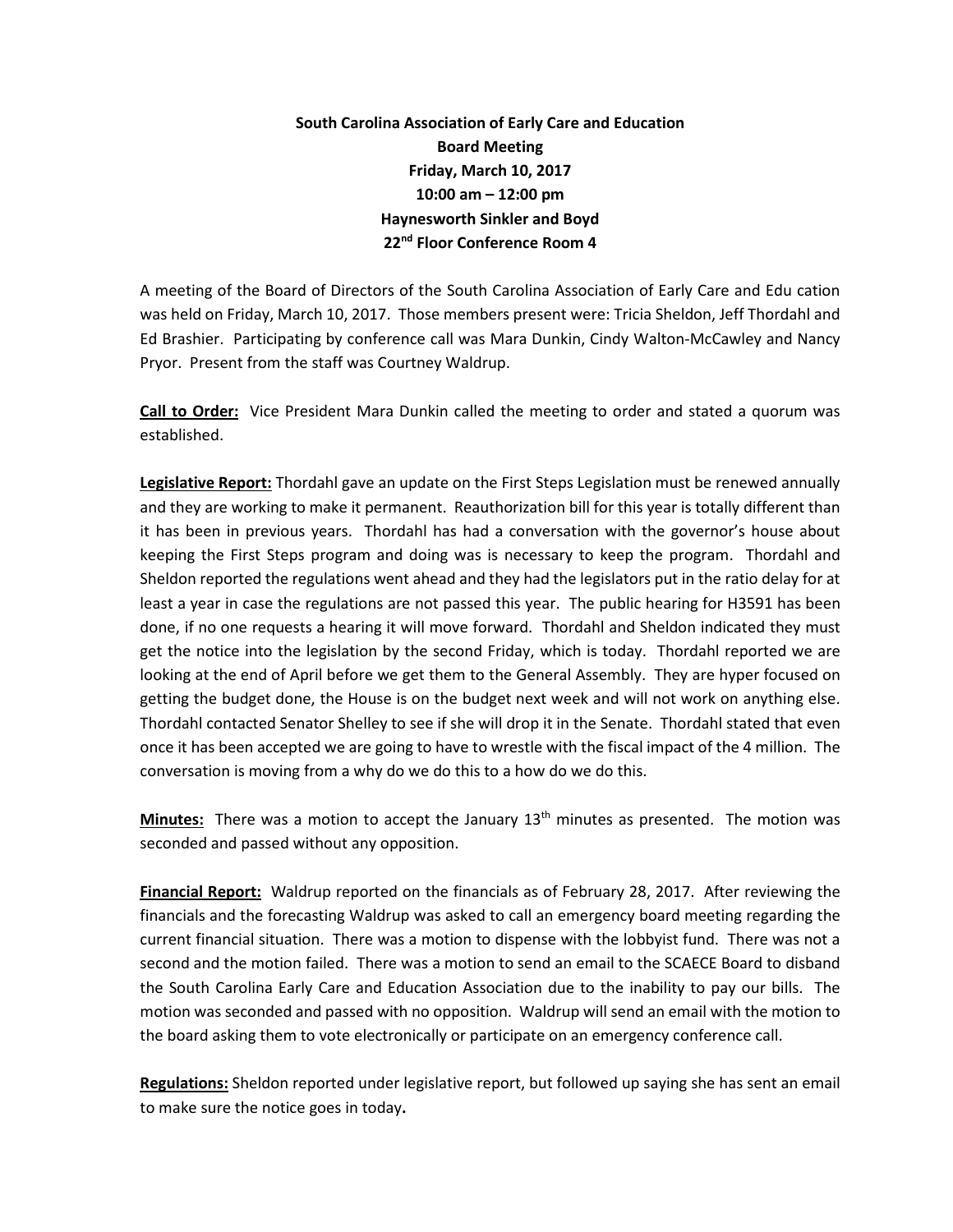## **South Carolina Association of Early Care and Education Board Meeting Friday, March 10, 2017 10:00 am – 12:00 pm Haynesworth Sinkler and Boyd 22nd Floor Conference Room 4**

A meeting of the Board of Directors of the South Carolina Association of Early Care and Edu cation was held on Friday, March 10, 2017. Those members present were: Tricia Sheldon, Jeff Thordahl and Ed Brashier. Participating by conference call was Mara Dunkin, Cindy Walton-McCawley and Nancy Pryor. Present from the staff was Courtney Waldrup.

**Call to Order:** Vice President Mara Dunkin called the meeting to order and stated a quorum was established.

**Legislative Report:** Thordahl gave an update on the First Steps Legislation must be renewed annually and they are working to make it permanent. Reauthorization bill for this year is totally different than it has been in previous years. Thordahl has had a conversation with the governor's house about keeping the First Steps program and doing was is necessary to keep the program. Thordahl and Sheldon reported the regulations went ahead and they had the legislators put in the ratio delay for at least a year in case the regulations are not passed this year. The public hearing for H3591 has been done, if no one requests a hearing it will move forward. Thordahl and Sheldon indicated they must get the notice into the legislation by the second Friday, which is today. Thordahl reported we are looking at the end of April before we get them to the General Assembly. They are hyper focused on getting the budget done, the House is on the budget next week and will not work on anything else. Thordahl contacted Senator Shelley to see if she will drop it in the Senate. Thordahl stated that even once it has been accepted we are going to have to wrestle with the fiscal impact of the 4 million. The conversation is moving from a why do we do this to a how do we do this.

Minutes: There was a motion to accept the January 13<sup>th</sup> minutes as presented. The motion was seconded and passed without any opposition.

**Financial Report:** Waldrup reported on the financials as of February 28, 2017. After reviewing the financials and the forecasting Waldrup was asked to call an emergency board meeting regarding the current financial situation. There was a motion to dispense with the lobbyist fund. There was not a second and the motion failed. There was a motion to send an email to the SCAECE Board to disband the South Carolina Early Care and Education Association due to the inability to pay our bills. The motion was seconded and passed with no opposition. Waldrup will send an email with the motion to the board asking them to vote electronically or participate on an emergency conference call.

**Regulations:** Sheldon reported under legislative report, but followed up saying she has sent an email to make sure the notice goes in today**.**